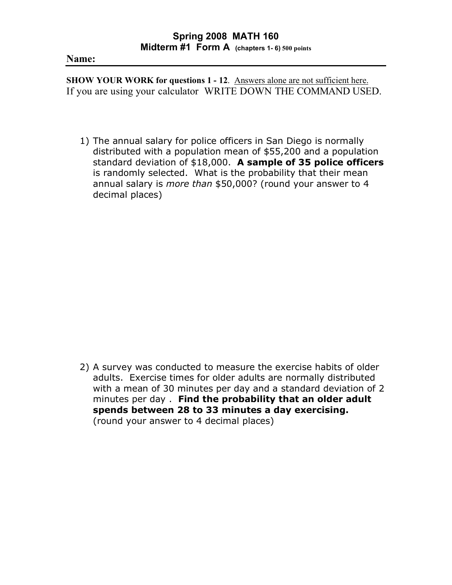## **Name:**

**SHOW YOUR WORK for questions 1 - 12**. Answers alone are not sufficient here. If you are using your calculator WRITE DOWN THE COMMAND USED.

1) The annual salary for police officers in San Diego is normally distributed with a population mean of \$55,200 and a population standard deviation of \$18,000. **A sample of 35 police officers** is randomly selected. What is the probability that their mean annual salary is *more than* \$50,000? (round your answer to 4 decimal places)

2) A survey was conducted to measure the exercise habits of older adults. Exercise times for older adults are normally distributed with a mean of 30 minutes per day and a standard deviation of 2 minutes per day . **Find the probability that an older adult spends between 28 to 33 minutes a day exercising.**  (round your answer to 4 decimal places)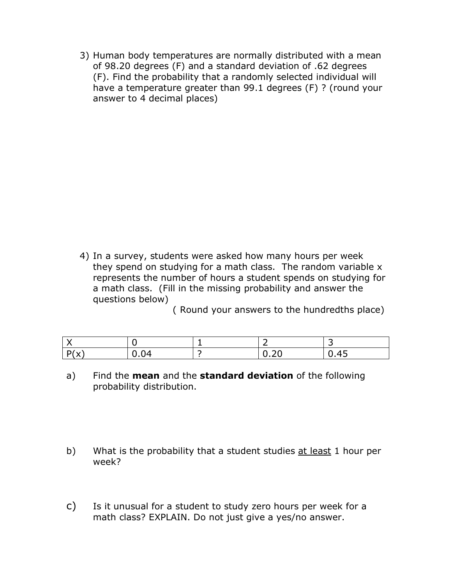3) Human body temperatures are normally distributed with a mean of 98.20 degrees (F) and a standard deviation of .62 degrees (F). Find the probability that a randomly selected individual will have a temperature greater than 99.1 degrees (F) ? (round your answer to 4 decimal places)

4) In a survey, students were asked how many hours per week they spend on studying for a math class. The random variable x represents the number of hours a student spends on studying for a math class. (Fill in the missing probability and answer the questions below)

( Round your answers to the hundredths place)

| $D(\sqrt{2})$<br>$\sim$<br>$\lambda$ | 0.04 | $\sim$ $\sim$<br>$v \sim$ | $\overline{\phantom{0}}$<br>U.45 |
|--------------------------------------|------|---------------------------|----------------------------------|

- a) Find the **mean** and the **standard deviation** of the following probability distribution.
- b) What is the probability that a student studies at least 1 hour per week?
- c) Is it unusual for a student to study zero hours per week for a math class? EXPLAIN. Do not just give a yes/no answer.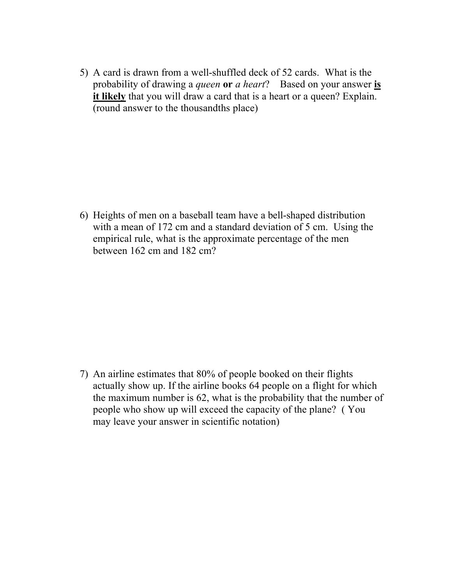5) A card is drawn from a well-shuffled deck of 52 cards. What is the probability of drawing a *queen* **or** *a heart*? Based on your answer **is**  it likely that you will draw a card that is a heart or a queen? Explain. (round answer to the thousandths place)

6) Heights of men on a baseball team have a bell-shaped distribution with a mean of 172 cm and a standard deviation of 5 cm. Using the empirical rule, what is the approximate percentage of the men between 162 cm and 182 cm?

7) An airline estimates that 80% of people booked on their flights actually show up. If the airline books 64 people on a flight for which the maximum number is 62, what is the probability that the number of people who show up will exceed the capacity of the plane? ( You may leave your answer in scientific notation)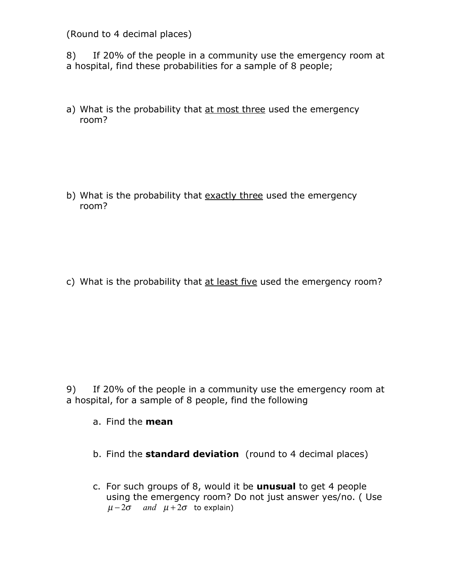(Round to 4 decimal places)

8) If 20% of the people in a community use the emergency room at a hospital, find these probabilities for a sample of 8 people;

a) What is the probability that at most three used the emergency room?

b) What is the probability that exactly three used the emergency room?

c) What is the probability that at least five used the emergency room?

9) If 20% of the people in a community use the emergency room at a hospital, for a sample of 8 people, find the following

- a. Find the **mean**
- b. Find the **standard deviation** (round to 4 decimal places)
- c. For such groups of 8, would it be **unusual** to get 4 people using the emergency room? Do not just answer yes/no. ( Use  $\mu - 2\sigma$  *and*  $\mu + 2\sigma$  to explain)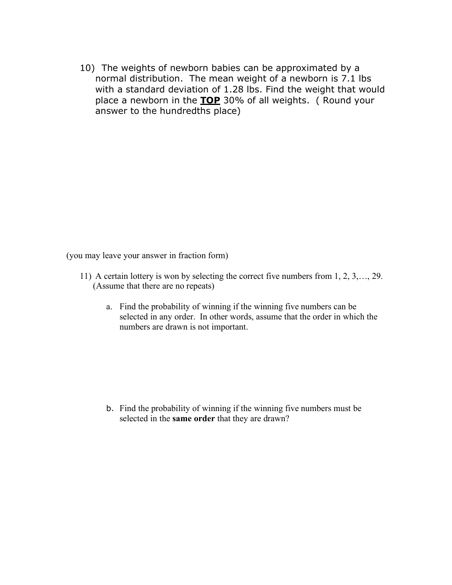10) The weights of newborn babies can be approximated by a normal distribution. The mean weight of a newborn is 7.1 lbs with a standard deviation of 1.28 lbs. Find the weight that would place a newborn in the **TOP** 30% of all weights. ( Round your answer to the hundredths place)

(you may leave your answer in fraction form)

- 11) A certain lottery is won by selecting the correct five numbers from 1, 2, 3,…, 29. (Assume that there are no repeats)
	- a. Find the probability of winning if the winning five numbers can be selected in any order. In other words, assume that the order in which the numbers are drawn is not important.

b. Find the probability of winning if the winning five numbers must be selected in the **same order** that they are drawn?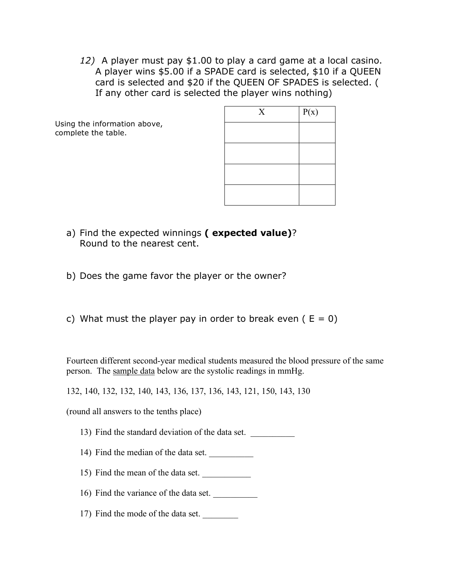*12)* A player must pay \$1.00 to play a card game at a local casino. A player wins \$5.00 if a SPADE card is selected, \$10 if a QUEEN card is selected and \$20 if the QUEEN OF SPADES is selected. ( If any other card is selected the player wins nothing)

Using the information above, complete the table.

| $\mathbf X$ | P(x) |
|-------------|------|
|             |      |
|             |      |
|             |      |
|             |      |
|             |      |

- a) Find the expected winnings **( expected value)**? Round to the nearest cent.
- b) Does the game favor the player or the owner?
- c) What must the player pay in order to break even  $(E = 0)$

Fourteen different second-year medical students measured the blood pressure of the same person. The sample data below are the systolic readings in mmHg.

132, 140, 132, 132, 140, 143, 136, 137, 136, 143, 121, 150, 143, 130

(round all answers to the tenths place)

- 13) Find the standard deviation of the data set.
- 14) Find the median of the data set.
- 15) Find the mean of the data set.
- 16) Find the variance of the data set.
- 17) Find the mode of the data set.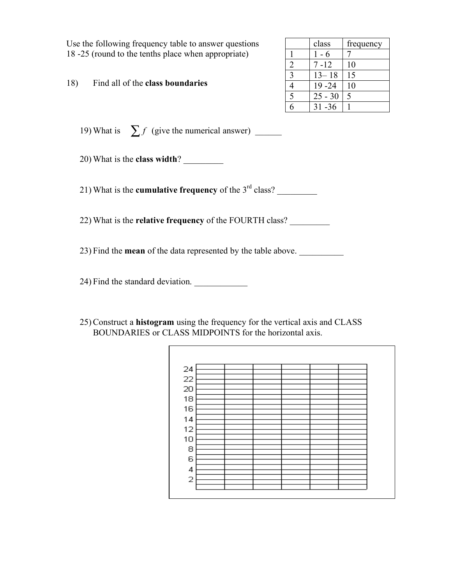Use the following frequency table to answer questions 18 -25 (round to the tenths place when appropriate)

18) Find all of the **class boundaries**

|             | class     | frequency |  |
|-------------|-----------|-----------|--|
|             | 1 - 6     |           |  |
| 2           | $7 - 12$  | 10        |  |
| $\mathbf 3$ | $13 - 18$ | 15        |  |
|             | $19 - 24$ | 10        |  |
| 5           | $25 - 30$ | 5         |  |
|             | $31 - 36$ |           |  |

19) What is  $\sum f$  (give the numerical answer) \_\_\_\_\_\_\_

20) What is the **class width**? \_\_\_\_\_\_\_\_\_

21) What is the **cumulative frequency** of the 3<sup>rd</sup> class?

22) What is the **relative frequency** of the FOURTH class? \_\_\_\_\_\_\_\_\_

23) Find the **mean** of the data represented by the table above.

24) Find the standard deviation.

25) Construct a **histogram** using the frequency for the vertical axis and CLASS BOUNDARIES or CLASS MIDPOINTS for the horizontal axis.